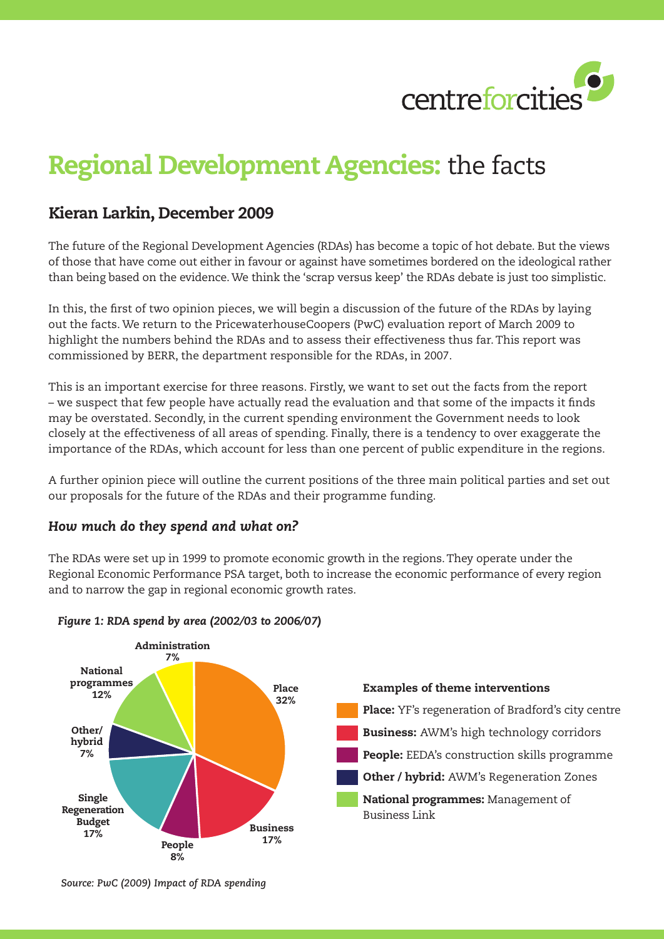

# Regional Development Agencies: the facts

## Kieran Larkin, December 2009

The future of the Regional Development Agencies (RDAs) has become a topic of hot debate. But the views of those that have come out either in favour or against have sometimes bordered on the ideological rather than being based on the evidence. We think the 'scrap versus keep' the RDAs debate is just too simplistic.

In this, the first of two opinion pieces, we will begin a discussion of the future of the RDAs by laying out the facts. We return to the PricewaterhouseCoopers (PwC) evaluation report of March 2009 to highlight the numbers behind the RDAs and to assess their effectiveness thus far. This report was commissioned by BERR, the department responsible for the RDAs, in 2007.

This is an important exercise for three reasons. Firstly, we want to set out the facts from the report – we suspect that few people have actually read the evaluation and that some of the impacts it finds may be overstated. Secondly, in the current spending environment the Government needs to look closely at the effectiveness of all areas of spending. Finally, there is a tendency to over exaggerate the importance of the RDAs, which account for less than one percent of public expenditure in the regions.

A further opinion piece will outline the current positions of the three main political parties and set out our proposals for the future of the RDAs and their programme funding.

### *How much do they spend and what on?*

The RDAs were set up in 1999 to promote economic growth in the regions. They operate under the Regional Economic Performance PSA target, both to increase the economic performance of every region and to narrow the gap in regional economic growth rates.



#### *Figure 1: RDA spend by area (2002/03 to 2006/07)*

*Source: PwC (2009) Impact of RDA spending*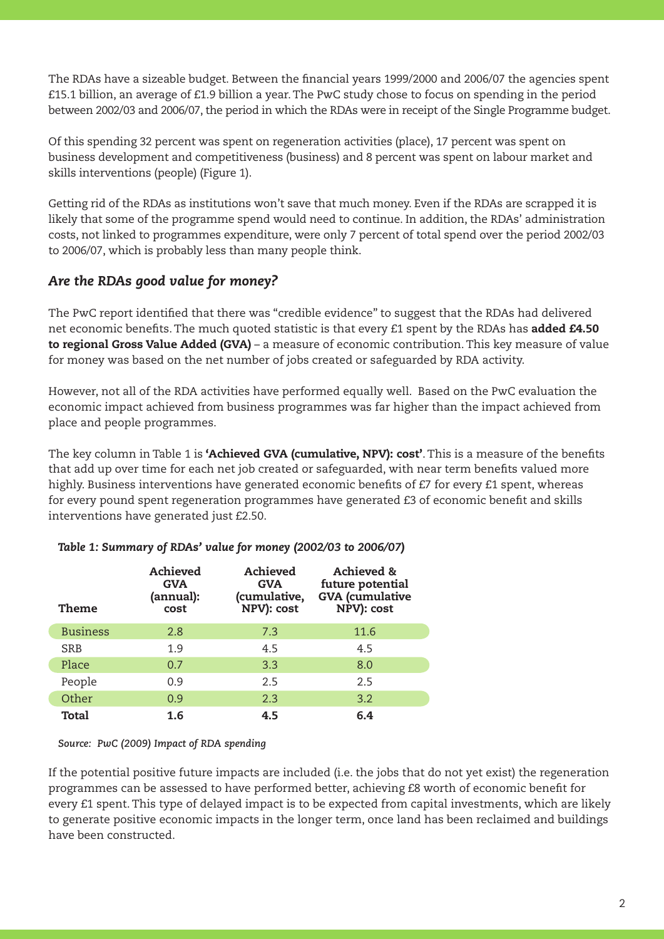The RDAs have a sizeable budget. Between the financial years 1999/2000 and 2006/07 the agencies spent £15.1 billion, an average of £1.9 billion a year. The PwC study chose to focus on spending in the period between 2002/03 and 2006/07, the period in which the RDAs were in receipt of the Single Programme budget.

Of this spending 32 percent was spent on regeneration activities (place), 17 percent was spent on business development and competitiveness (business) and 8 percent was spent on labour market and skills interventions (people) (Figure 1).

Getting rid of the RDAs as institutions won't save that much money. Even if the RDAs are scrapped it is likely that some of the programme spend would need to continue. In addition, the RDAs' administration costs, not linked to programmes expenditure, were only 7 percent of total spend over the period 2002/03 to 2006/07, which is probably less than many people think.

## *Are the RDAs good value for money?*

The PwC report identified that there was "credible evidence" to suggest that the RDAs had delivered net economic benefits. The much quoted statistic is that every £1 spent by the RDAs has **added £4.50** to regional Gross Value Added (GVA) – a measure of economic contribution. This key measure of value for money was based on the net number of jobs created or safeguarded by RDA activity.

However, not all of the RDA activities have performed equally well. Based on the PwC evaluation the economic impact achieved from business programmes was far higher than the impact achieved from place and people programmes.

The key column in Table 1 is 'Achieved GVA (cumulative, NPV): cost'. This is a measure of the benefits that add up over time for each net job created or safeguarded, with near term benefits valued more highly. Business interventions have generated economic benefits of £7 for every £1 spent, whereas for every pound spent regeneration programmes have generated £3 of economic benefit and skills interventions have generated just £2.50.

| Theme           | Achieved<br><b>GVA</b><br>(annual):<br>cost | Achieved<br><b>GVA</b><br>(cumulative,<br>NPV): cost | Achieved &<br>future potential<br><b>GVA</b> (cumulative<br>NPV): cost |
|-----------------|---------------------------------------------|------------------------------------------------------|------------------------------------------------------------------------|
| <b>Business</b> | 2.8                                         | 7.3                                                  | 11.6                                                                   |
| <b>SRB</b>      | 1.9                                         | 4.5                                                  | 4.5                                                                    |
| Place           | 0.7                                         | 3.3                                                  | 8.0                                                                    |
| People          | 0.9                                         | 2.5                                                  | 2.5                                                                    |
| Other           | 0.9                                         | 2.3                                                  | 3.2                                                                    |
| Total           | 1.6                                         | 4.5                                                  | 6.4                                                                    |

#### *Table 1: Summary of RDAs' value for money (2002/03 to 2006/07)*

#### *Source: PwC (2009) Impact of RDA spending*

If the potential positive future impacts are included (i.e. the jobs that do not yet exist) the regeneration programmes can be assessed to have performed better, achieving £8 worth of economic benefit for every £1 spent. This type of delayed impact is to be expected from capital investments, which are likely to generate positive economic impacts in the longer term, once land has been reclaimed and buildings have been constructed.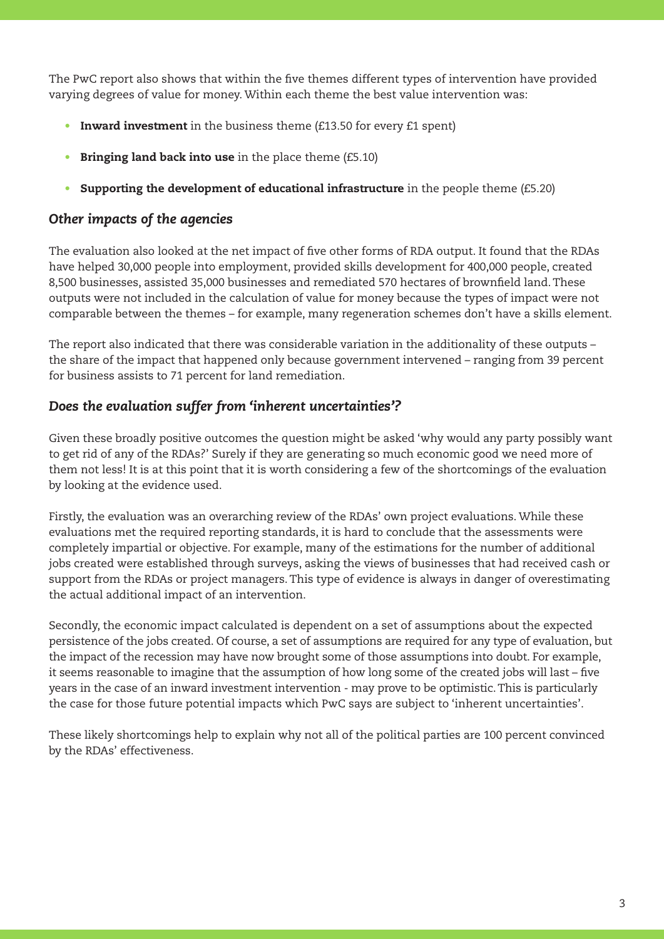The PwC report also shows that within the five themes different types of intervention have provided varying degrees of value for money. Within each theme the best value intervention was:

- Inward investment in the business theme  $(f13.50)$  for every  $f1$  spent)
- Bringing land back into use in the place theme (£5.10)
- Supporting the development of educational infrastructure in the people theme  $(f5.20)$

## *Other impacts of the agencies*

The evaluation also looked at the net impact of five other forms of RDA output. It found that the RDAs have helped 30,000 people into employment, provided skills development for 400,000 people, created 8,500 businesses, assisted 35,000 businesses and remediated 570 hectares of brownfield land. These outputs were not included in the calculation of value for money because the types of impact were not comparable between the themes – for example, many regeneration schemes don't have a skills element.

The report also indicated that there was considerable variation in the additionality of these outputs – the share of the impact that happened only because government intervened – ranging from 39 percent for business assists to 71 percent for land remediation.

## *Does the evaluation suffer from 'inherent uncertainties'?*

Given these broadly positive outcomes the question might be asked 'why would any party possibly want to get rid of any of the RDAs?' Surely if they are generating so much economic good we need more of them not less! It is at this point that it is worth considering a few of the shortcomings of the evaluation by looking at the evidence used.

Firstly, the evaluation was an overarching review of the RDAs' own project evaluations. While these evaluations met the required reporting standards, it is hard to conclude that the assessments were completely impartial or objective. For example, many of the estimations for the number of additional jobs created were established through surveys, asking the views of businesses that had received cash or support from the RDAs or project managers. This type of evidence is always in danger of overestimating the actual additional impact of an intervention.

Secondly, the economic impact calculated is dependent on a set of assumptions about the expected persistence of the jobs created. Of course, a set of assumptions are required for any type of evaluation, but the impact of the recession may have now brought some of those assumptions into doubt. For example, it seems reasonable to imagine that the assumption of how long some of the created jobs will last – five years in the case of an inward investment intervention - may prove to be optimistic. This is particularly the case for those future potential impacts which PwC says are subject to 'inherent uncertainties'.

These likely shortcomings help to explain why not all of the political parties are 100 percent convinced by the RDAs' effectiveness.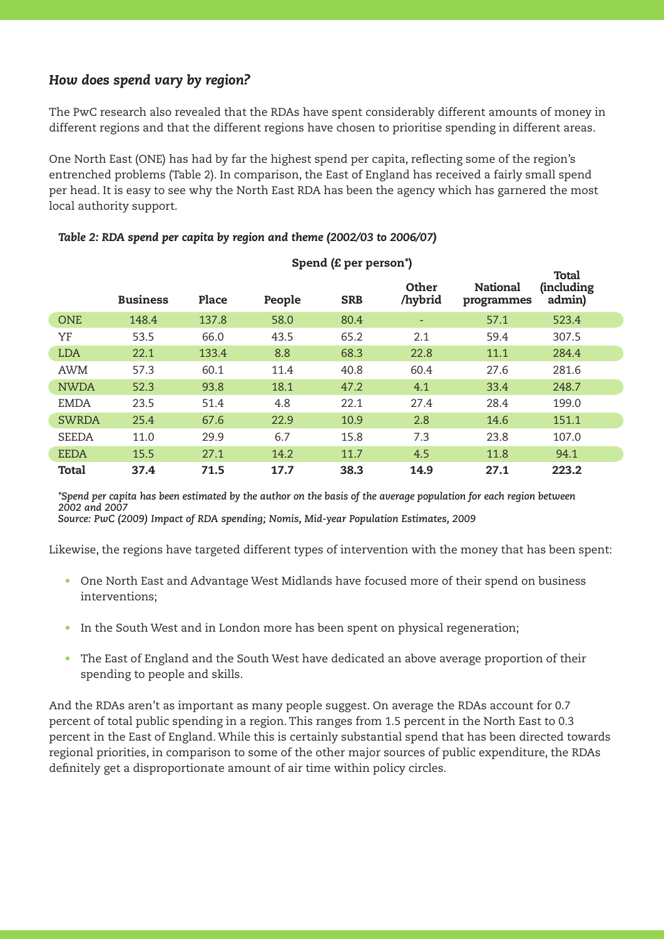## *How does spend vary by region?*

The PwC research also revealed that the RDAs have spent considerably different amounts of money in different regions and that the different regions have chosen to prioritise spending in different areas.

One North East (ONE) has had by far the highest spend per capita, reflecting some of the region's entrenched problems (Table 2). In comparison, the East of England has received a fairly small spend per head. It is easy to see why the North East RDA has been the agency which has garnered the most local authority support.

|              | <b>Business</b> | Place | People | <b>SRB</b> | Other<br>/hybrid | <b>National</b><br>programmes | Total<br><i>(including</i><br>admin) |
|--------------|-----------------|-------|--------|------------|------------------|-------------------------------|--------------------------------------|
| <b>ONE</b>   | 148.4           | 137.8 | 58.0   | 80.4       | ٠                | 57.1                          | 523.4                                |
| YF           | 53.5            | 66.0  | 43.5   | 65.2       | 2.1              | 59.4                          | 307.5                                |
| <b>LDA</b>   | 22.1            | 133.4 | 8.8    | 68.3       | 22.8             | 11.1                          | 284.4                                |
| <b>AWM</b>   | 57.3            | 60.1  | 11.4   | 40.8       | 60.4             | 27.6                          | 281.6                                |
| <b>NWDA</b>  | 52.3            | 93.8  | 18.1   | 47.2       | 4.1              | 33.4                          | 248.7                                |
| <b>EMDA</b>  | 23.5            | 51.4  | 4.8    | 22.1       | 27.4             | 28.4                          | 199.0                                |
| <b>SWRDA</b> | 25.4            | 67.6  | 22.9   | 10.9       | 2.8              | 14.6                          | 151.1                                |
| <b>SEEDA</b> | 11.0            | 29.9  | 6.7    | 15.8       | 7.3              | 23.8                          | 107.0                                |
| <b>EEDA</b>  | 15.5            | 27.1  | 14.2   | 11.7       | 4.5              | 11.8                          | 94.1                                 |
| Total        | 37.4            | 71.5  | 17.7   | 38.3       | 14.9             | 27.1                          | 223.2                                |

#### *Table 2: RDA spend per capita by region and theme (2002/03 to 2006/07)*

*\*Spend per capita has been estimated by the author on the basis of the average population for each region between 2002 and 2007 Source: PwC (2009) Impact of RDA spending; Nomis, Mid-year Population Estimates, 2009*

Likewise, the regions have targeted different types of intervention with the money that has been spent:

- One North East and Advantage West Midlands have focused more of their spend on business interventions;
- In the South West and in London more has been spent on physical regeneration;
- The East of England and the South West have dedicated an above average proportion of their spending to people and skills.

And the RDAs aren't as important as many people suggest. On average the RDAs account for 0.7 percent of total public spending in a region. This ranges from 1.5 percent in the North East to 0.3 percent in the East of England. While this is certainly substantial spend that has been directed towards regional priorities, in comparison to some of the other major sources of public expenditure, the RDAs definitely get a disproportionate amount of air time within policy circles.